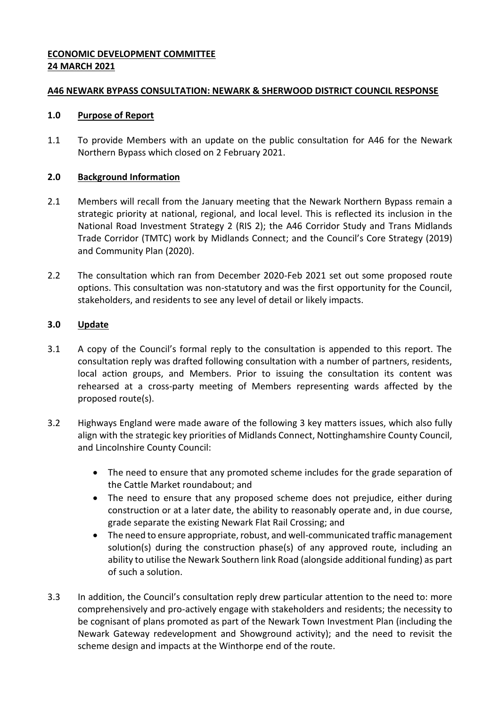# **ECONOMIC DEVELOPMENT COMMITTEE 24 MARCH 2021**

## **A46 NEWARK BYPASS CONSULTATION: NEWARK & SHERWOOD DISTRICT COUNCIL RESPONSE**

## **1.0 Purpose of Report**

1.1 To provide Members with an update on the public consultation for A46 for the Newark Northern Bypass which closed on 2 February 2021.

# **2.0 Background Information**

- 2.1 Members will recall from the January meeting that the Newark Northern Bypass remain a strategic priority at national, regional, and local level. This is reflected its inclusion in the National Road Investment Strategy 2 (RIS 2); the A46 Corridor Study and Trans Midlands Trade Corridor (TMTC) work by Midlands Connect; and the Council's Core Strategy (2019) and Community Plan (2020).
- 2.2 The consultation which ran from December 2020-Feb 2021 set out some proposed route options. This consultation was non-statutory and was the first opportunity for the Council, stakeholders, and residents to see any level of detail or likely impacts.

## **3.0 Update**

- 3.1 A copy of the Council's formal reply to the consultation is appended to this report. The consultation reply was drafted following consultation with a number of partners, residents, local action groups, and Members. Prior to issuing the consultation its content was rehearsed at a cross-party meeting of Members representing wards affected by the proposed route(s).
- 3.2 Highways England were made aware of the following 3 key matters issues, which also fully align with the strategic key priorities of Midlands Connect, Nottinghamshire County Council, and Lincolnshire County Council:
	- The need to ensure that any promoted scheme includes for the grade separation of the Cattle Market roundabout; and
	- The need to ensure that any proposed scheme does not prejudice, either during construction or at a later date, the ability to reasonably operate and, in due course, grade separate the existing Newark Flat Rail Crossing; and
	- The need to ensure appropriate, robust, and well-communicated traffic management solution(s) during the construction phase(s) of any approved route, including an ability to utilise the Newark Southern link Road (alongside additional funding) as part of such a solution.
- 3.3 In addition, the Council's consultation reply drew particular attention to the need to: more comprehensively and pro-actively engage with stakeholders and residents; the necessity to be cognisant of plans promoted as part of the Newark Town Investment Plan (including the Newark Gateway redevelopment and Showground activity); and the need to revisit the scheme design and impacts at the Winthorpe end of the route.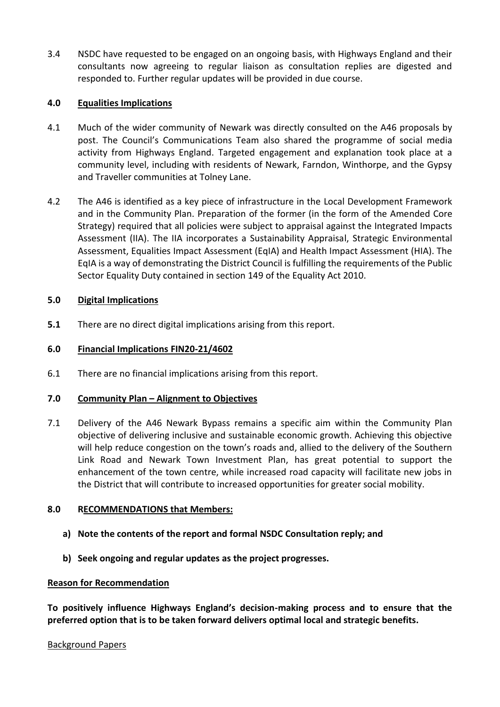3.4 NSDC have requested to be engaged on an ongoing basis, with Highways England and their consultants now agreeing to regular liaison as consultation replies are digested and responded to. Further regular updates will be provided in due course.

## **4.0 Equalities Implications**

- 4.1 Much of the wider community of Newark was directly consulted on the A46 proposals by post. The Council's Communications Team also shared the programme of social media activity from Highways England. Targeted engagement and explanation took place at a community level, including with residents of Newark, Farndon, Winthorpe, and the Gypsy and Traveller communities at Tolney Lane.
- 4.2 The A46 is identified as a key piece of infrastructure in the Local Development Framework and in the Community Plan. Preparation of the former (in the form of the Amended Core Strategy) required that all policies were subject to appraisal against the Integrated Impacts Assessment (IIA). The IIA incorporates a Sustainability Appraisal, Strategic Environmental Assessment, Equalities Impact Assessment (EqIA) and Health Impact Assessment (HIA). The EqIA is a way of demonstrating the District Council is fulfilling the requirements of the Public Sector Equality Duty contained in section 149 of the Equality Act 2010.

## **5.0 Digital Implications**

**5.1** There are no direct digital implications arising from this report.

## **6.0 Financial Implications FIN20-21/4602**

6.1 There are no financial implications arising from this report.

#### **7.0 Community Plan – Alignment to Objectives**

7.1 Delivery of the A46 Newark Bypass remains a specific aim within the Community Plan objective of delivering inclusive and sustainable economic growth. Achieving this objective will help reduce congestion on the town's roads and, allied to the delivery of the Southern Link Road and Newark Town Investment Plan, has great potential to support the enhancement of the town centre, while increased road capacity will facilitate new jobs in the District that will contribute to increased opportunities for greater social mobility.

#### **8.0 RECOMMENDATIONS that Members:**

- **a) Note the contents of the report and formal NSDC Consultation reply; and**
- **b) Seek ongoing and regular updates as the project progresses.**

#### **Reason for Recommendation**

**To positively influence Highways England's decision-making process and to ensure that the preferred option that is to be taken forward delivers optimal local and strategic benefits.**

#### Background Papers